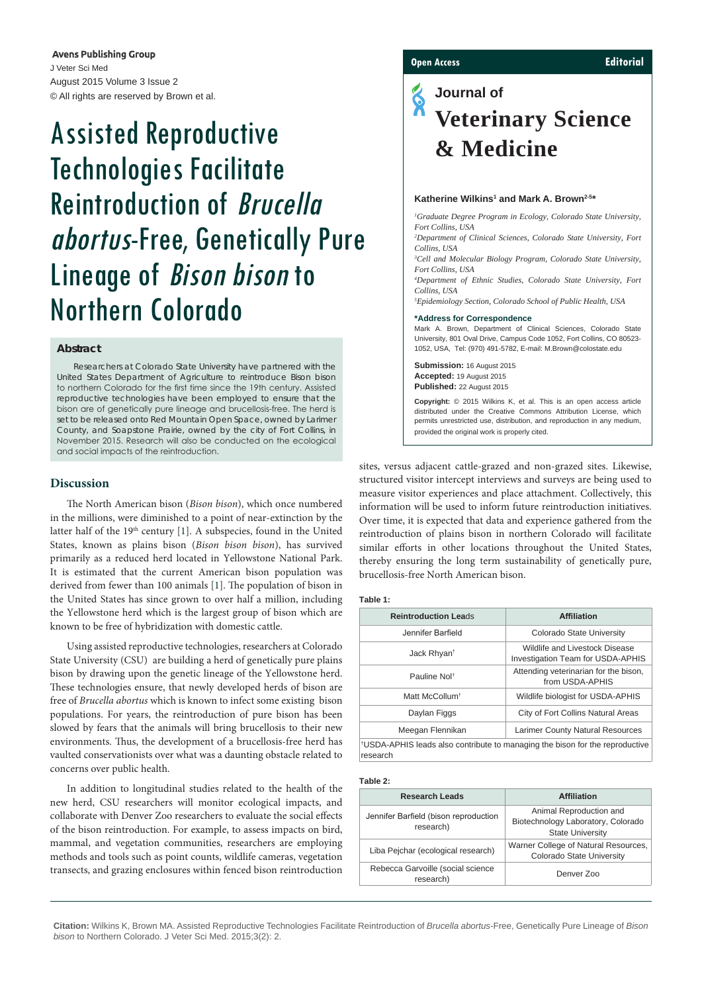**Avens Publishing Group** J Veter Sci Med August 2015 Volume 3 Issue 2 © All rights are reserved by Brown et al.

# Assisted Reproductive Technologies Facilitate Reintroduction of Brucella abortus-Free, Genetically Pure Lineage of Bison bison to Northern Colorado

# **Abstract**

Researchers at Colorado State University have partnered with the United States Department of Agriculture to reintroduce *Bison bison*  to northern Colorado for the first time since the 19th century. Assisted reproductive technologies have been employed to ensure that the bison are of genetically pure lineage and brucellosis-free. The herd is set to be released onto Red Mountain Open Space, owned by Larimer County, and Soapstone Prairie, owned by the city of Fort Collins, in November 2015. Research will also be conducted on the ecological and social impacts of the reintroduction.

# **Discussion**

The North American bison (*Bison bison*), which once numbered in the millions, were diminished to a point of near-extinction by the latter half of the 19<sup>th</sup> century [\[1\]](#page-1-0). A subspecies, found in the United States, known as plains bison (*Bison bison bison*), has survived primarily as a reduced herd located in Yellowstone National Park. It is estimated that the current American bison population was derived from fewer than 100 animals [[1](#page-1-0)]. The population of bison in the United States has since grown to over half a million, including the Yellowstone herd which is the largest group of bison which are known to be free of hybridization with domestic cattle.

Using assisted reproductive technologies, researchers at Colorado State University (CSU) are building a herd of genetically pure plains bison by drawing upon the genetic lineage of the Yellowstone herd. These technologies ensure, that newly developed herds of bison are free of *Brucella abortus* which is known to infect some existing bison populations. For years, the reintroduction of pure bison has been slowed by fears that the animals will bring brucellosis to their new environments. Thus, the development of a brucellosis-free herd has vaulted conservationists over what was a daunting obstacle related to concerns over public health.

In addition to longitudinal studies related to the health of the new herd, CSU researchers will monitor ecological impacts, and collaborate with Denver Zoo researchers to evaluate the social effects of the bison reintroduction. For example, to assess impacts on bird, mammal, and vegetation communities, researchers are employing methods and tools such as point counts, wildlife cameras, vegetation transects, and grazing enclosures within fenced bison reintroduction

# **Open Access Editorial**

# E **Journal of Veterinary Science & Medicine**

#### Katherine Wilkins<sup>1</sup> and Mark A. Brown<sup>2-5\*</sup>

*1 Graduate Degree Program in Ecology, Colorado State University, Fort Collins, USA*

*2 Department of Clinical Sciences, Colorado State University, Fort Collins, USA*

*3 Cell and Molecular Biology Program, Colorado State University, Fort Collins, USA*

*4 Department of Ethnic Studies, Colorado State University, Fort Collins, USA*

*5 Epidemiology Section, Colorado School of Public Health, USA*

#### **\*Address for Correspondence**

Mark A. Brown, Department of Clinical Sciences, Colorado State University, 801 Oval Drive, Campus Code 1052, Fort Collins, CO 80523- 1052, USA, Tel: (970) 491-5782, E-mail: M.Brown@colostate.edu

**Submission:** 16 August 2015 **Accepted:** 19 August 2015 **Published:** 22 August 2015

**Copyright:** © 2015 Wilkins K, et al. This is an open access article distributed under the Creative Commons Attribution License, which permits unrestricted use, distribution, and reproduction in any medium, provided the original work is properly cited.

sites, versus adjacent cattle-grazed and non-grazed sites. Likewise, structured visitor intercept interviews and surveys are being used to measure visitor experiences and place attachment. Collectively, this information will be used to inform future reintroduction initiatives. Over time, it is expected that data and experience gathered from the reintroduction of plains bison in northern Colorado will facilitate similar efforts in other locations throughout the United States, thereby ensuring the long term sustainability of genetically pure, brucellosis-free North American bison.

<span id="page-0-0"></span>**Table 1:**

| <b>Reintroduction Leads</b>                                                                          | <b>Affiliation</b>                                                  |
|------------------------------------------------------------------------------------------------------|---------------------------------------------------------------------|
| Jennifer Barfield                                                                                    | Colorado State University                                           |
| Jack Rhyan <sup>t</sup>                                                                              | Wildlife and Livestock Disease<br>Investigation Team for USDA-APHIS |
| Pauline Nolt                                                                                         | Attending veterinarian for the bison,<br>from USDA-APHIS            |
| Matt McCollum <sup>+</sup>                                                                           | Wildlife biologist for USDA-APHIS                                   |
| Daylan Figgs                                                                                         | City of Fort Collins Natural Areas                                  |
| Meegan Flennikan                                                                                     | <b>Larimer County Natural Resources</b>                             |
| <sup>†</sup> USDA-APHIS leads also contribute to managing the bison for the reproductive<br>research |                                                                     |

#### <span id="page-0-1"></span>**Table 2:**

| <b>Research Leads</b>                              | <b>Affiliation</b>                                                                       |
|----------------------------------------------------|------------------------------------------------------------------------------------------|
| Jennifer Barfield (bison reproduction<br>research) | Animal Reproduction and<br>Biotechnology Laboratory, Colorado<br><b>State University</b> |
| Liba Pejchar (ecological research)                 | Warner College of Natural Resources,<br>Colorado State University                        |
| Rebecca Garvoille (social science<br>research)     | Denver Zoo                                                                               |
|                                                    |                                                                                          |

**Citation:** Wilkins K, Brown MA. Assisted Reproductive Technologies Facilitate Reintroduction of *Brucella abortus*-Free, Genetically Pure Lineage of *Bison bison* to Northern Colorado. J Veter Sci Med. 2015;3(2): 2.